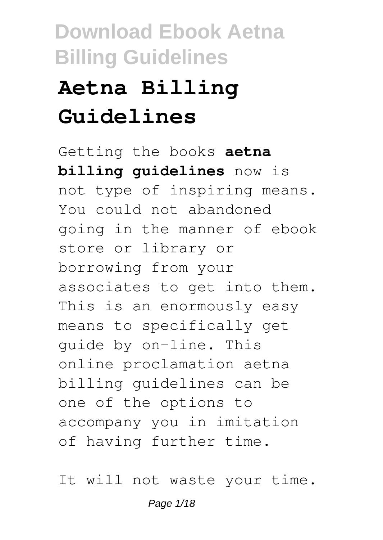# **Aetna Billing Guidelines**

Getting the books **aetna billing guidelines** now is not type of inspiring means. You could not abandoned going in the manner of ebook store or library or borrowing from your associates to get into them. This is an enormously easy means to specifically get guide by on-line. This online proclamation aetna billing guidelines can be one of the options to accompany you in imitation of having further time.

It will not waste your time.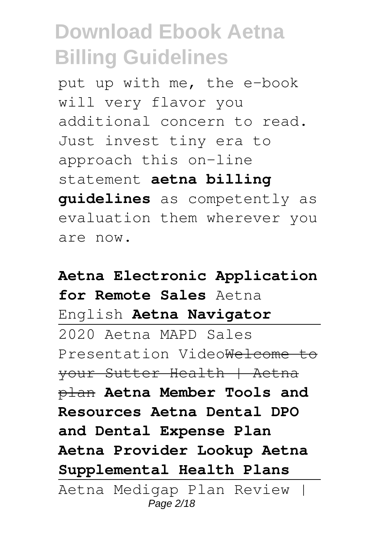put up with me, the e-book will very flavor you additional concern to read. Just invest tiny era to approach this on-line statement **aetna billing guidelines** as competently as evaluation them wherever you are now.

**Aetna Electronic Application for Remote Sales** Aetna English **Aetna Navigator** 2020 Aetna MAPD Sales Presentation VideoWelcome to your Sutter Health | Aetna plan **Aetna Member Tools and Resources Aetna Dental DPO and Dental Expense Plan Aetna Provider Lookup Aetna Supplemental Health Plans** Aetna Medigap Plan Review | Page 2/18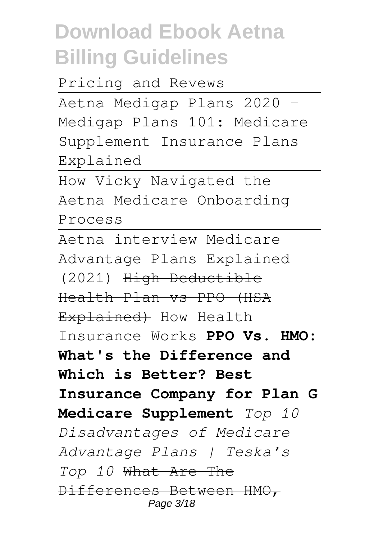Pricing and Revews

Aetna Medigap Plans 2020 - Medigap Plans 101: Medicare Supplement Insurance Plans Explained

How Vicky Navigated the Aetna Medicare Onboarding Process

Aetna interview Medicare Advantage Plans Explained (2021) High Deductible Health Plan vs PPO (HSA Explained) How Health Insurance Works **PPO Vs. HMO: What's the Difference and Which is Better? Best Insurance Company for Plan G Medicare Supplement** *Top 10 Disadvantages of Medicare Advantage Plans | Teska's Top 10* What Are The Differences Between HMO, Page 3/18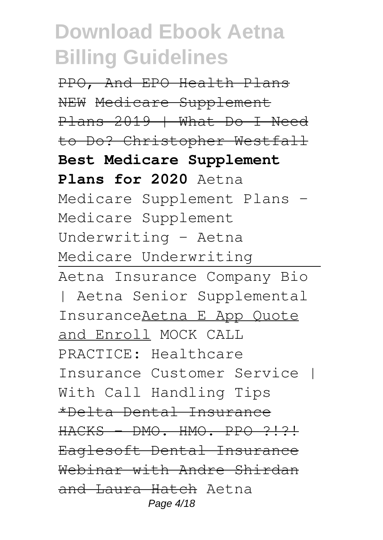PPO, And EPO Health Plans NEW Medicare Supplement Plans 2019 | What Do I Need to Do? Christopher Westfall **Best Medicare Supplement Plans for 2020** Aetna Medicare Supplement Plans -Medicare Supplement Underwriting - Aetna Medicare Underwriting Aetna Insurance Company Bio | Aetna Senior Supplemental InsuranceAetna E App Quote and Enroll MOCK CALL PRACTICE: Healthcare Insurance Customer Service | With Call Handling Tips \*Delta Dental Insurance HACKS DMO. HMO. PPO ?!?! Eaglesoft Dental Insurance Webinar with Andre Shirdan and Laura Hatch Aetna Page 4/18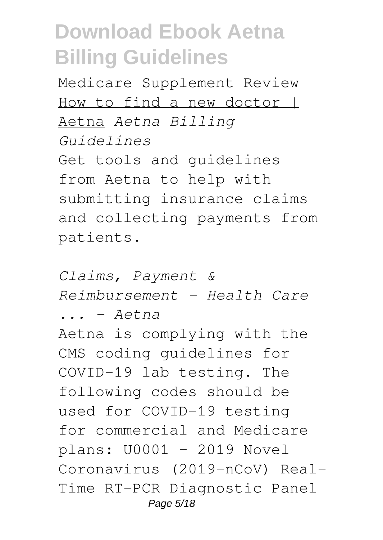Medicare Supplement Review How to find a new doctor | Aetna *Aetna Billing Guidelines* Get tools and guidelines from Aetna to help with submitting insurance claims and collecting payments from patients.

*Claims, Payment & Reimbursement – Health Care ... - Aetna* Aetna is complying with the CMS coding guidelines for COVID-19 lab testing. The following codes should be used for COVID-19 testing for commercial and Medicare plans: U0001 - 2019 Novel Coronavirus (2019-nCoV) Real-Time RT-PCR Diagnostic Panel Page 5/18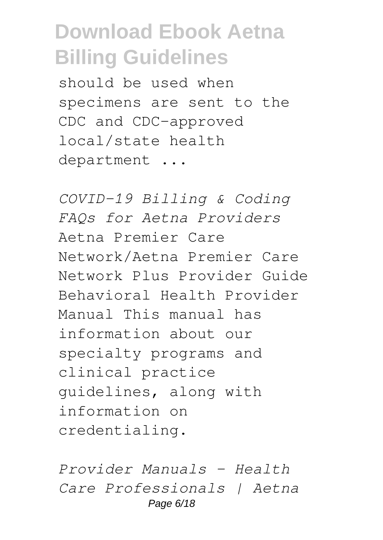should be used when specimens are sent to the CDC and CDC-approved local/state health department ...

*COVID-19 Billing & Coding FAQs for Aetna Providers* Aetna Premier Care Network/Aetna Premier Care Network Plus Provider Guide Behavioral Health Provider Manual This manual has information about our specialty programs and clinical practice guidelines, along with information on credentialing.

*Provider Manuals – Health Care Professionals | Aetna* Page 6/18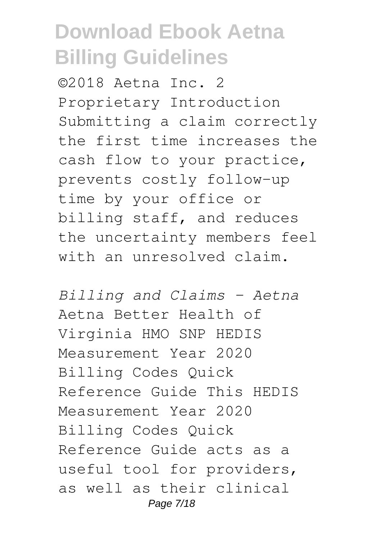©2018 Aetna Inc. 2 Proprietary Introduction Submitting a claim correctly the first time increases the cash flow to your practice, prevents costly follow-up time by your office or billing staff, and reduces the uncertainty members feel with an unresolved claim.

*Billing and Claims - Aetna* Aetna Better Health of Virginia HMO SNP HEDIS Measurement Year 2020 Billing Codes Quick Reference Guide This HEDIS Measurement Year 2020 Billing Codes Quick Reference Guide acts as a useful tool for providers, as well as their clinical Page 7/18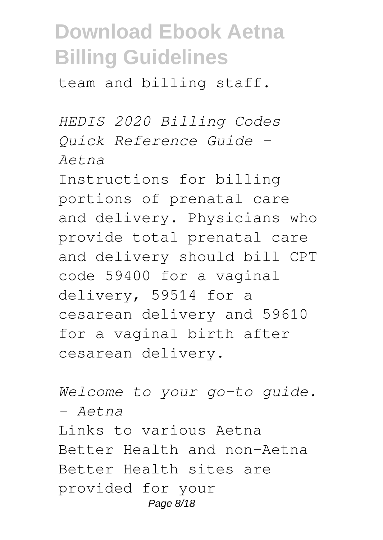team and billing staff.

*HEDIS 2020 Billing Codes Quick Reference Guide - Aetna*

Instructions for billing portions of prenatal care and delivery. Physicians who provide total prenatal care and delivery should bill CPT code 59400 for a vaginal delivery, 59514 for a cesarean delivery and 59610 for a vaginal birth after cesarean delivery.

*Welcome to your go-to guide. - Aetna* Links to various Aetna Better Health and non-Aetna Better Health sites are provided for your Page 8/18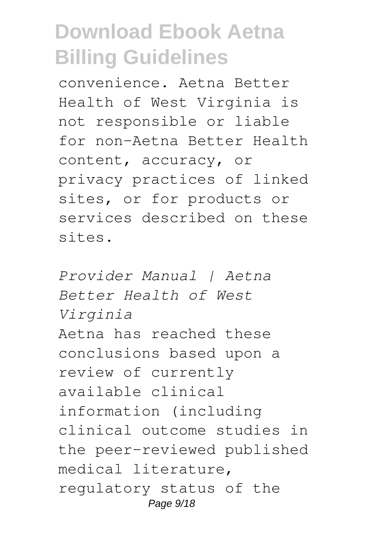convenience. Aetna Better Health of West Virginia is not responsible or liable for non-Aetna Better Health content, accuracy, or privacy practices of linked sites, or for products or services described on these sites.

*Provider Manual | Aetna Better Health of West Virginia* Aetna has reached these conclusions based upon a review of currently available clinical information (including clinical outcome studies in the peer-reviewed published medical literature, regulatory status of the Page  $9/18$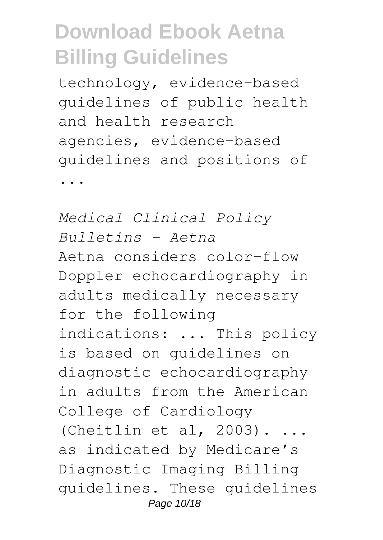technology, evidence-based guidelines of public health and health research agencies, evidence-based guidelines and positions of

...

*Medical Clinical Policy Bulletins - Aetna* Aetna considers color-flow Doppler echocardiography in adults medically necessary for the following indications: ... This policy is based on guidelines on diagnostic echocardiography in adults from the American College of Cardiology (Cheitlin et al,  $2003$ ).... as indicated by Medicare's Diagnostic Imaging Billing guidelines. These guidelines Page 10/18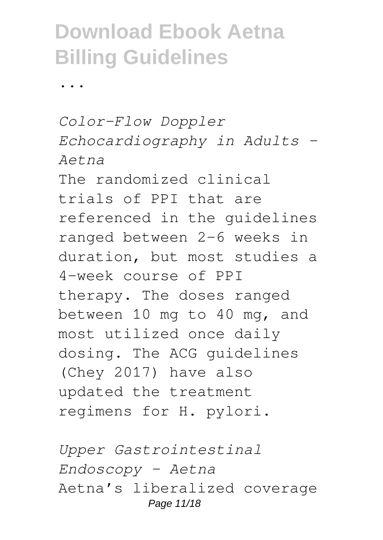...

*Color-Flow Doppler Echocardiography in Adults - Aetna* The randomized clinical trials of PPI that are referenced in the guidelines ranged between 2-6 weeks in duration, but most studies a 4-week course of PPI therapy. The doses ranged between 10 mg to 40 mg, and most utilized once daily dosing. The ACG guidelines (Chey 2017) have also updated the treatment regimens for H. pylori.

*Upper Gastrointestinal Endoscopy - Aetna* Aetna's liberalized coverage Page 11/18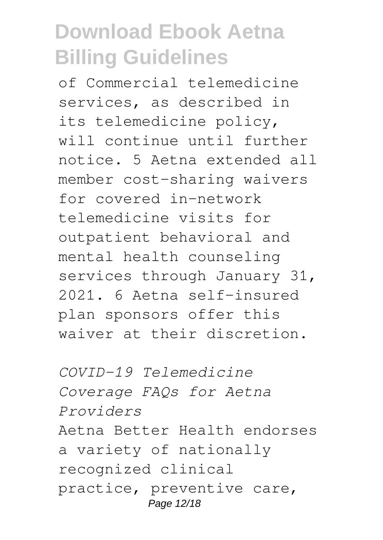of Commercial telemedicine services, as described in its telemedicine policy, will continue until further notice. 5 Aetna extended all member cost-sharing waivers for covered in-network telemedicine visits for outpatient behavioral and mental health counseling services through January 31, 2021. 6 Aetna self-insured plan sponsors offer this waiver at their discretion.

*COVID-19 Telemedicine Coverage FAQs for Aetna Providers* Aetna Better Health endorses a variety of nationally recognized clinical practice, preventive care, Page 12/18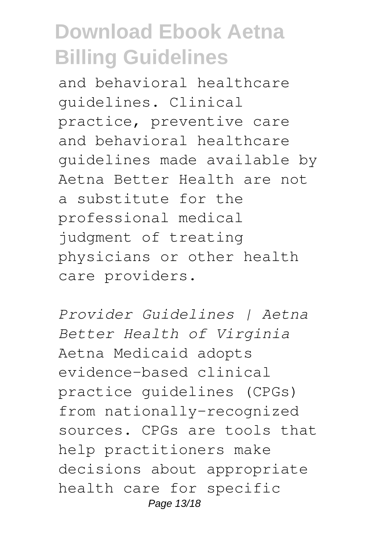and behavioral healthcare guidelines. Clinical practice, preventive care and behavioral healthcare guidelines made available by Aetna Better Health are not a substitute for the professional medical judgment of treating physicians or other health care providers.

*Provider Guidelines | Aetna Better Health of Virginia* Aetna Medicaid adopts evidence-based clinical practice guidelines (CPGs) from nationally-recognized sources. CPGs are tools that help practitioners make decisions about appropriate health care for specific Page 13/18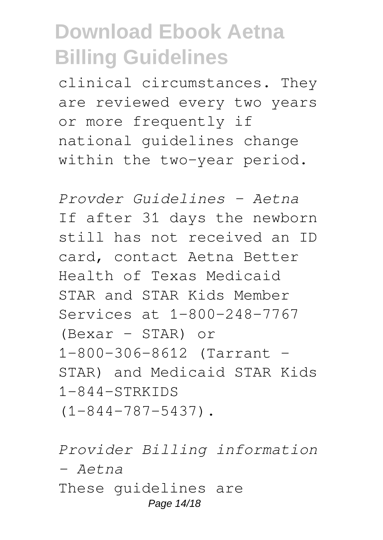clinical circumstances. They are reviewed every two years or more frequently if national guidelines change within the two-year period.

*Provder Guidelines - Aetna* If after 31 days the newborn still has not received an ID card, contact Aetna Better Health of Texas Medicaid STAR and STAR Kids Member Services at 1-800-248-7767 (Bexar - STAR) or 1-800-306-8612 (Tarrant - STAR) and Medicaid STAR Kids  $1-844-STRKIDS$ (1-844-787-5437).

*Provider Billing information - Aetna* These guidelines are Page 14/18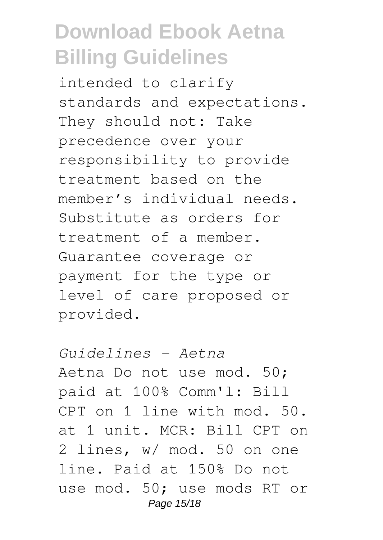intended to clarify standards and expectations. They should not: Take precedence over your responsibility to provide treatment based on the member's individual needs. Substitute as orders for treatment of a member. Guarantee coverage or payment for the type or level of care proposed or provided.

*Guidelines - Aetna* Aetna Do not use mod. 50; paid at 100% Comm'l: Bill CPT on 1 line with mod. 50. at 1 unit. MCR: Bill CPT on 2 lines, w/ mod. 50 on one line. Paid at 150% Do not use mod. 50; use mods RT or Page 15/18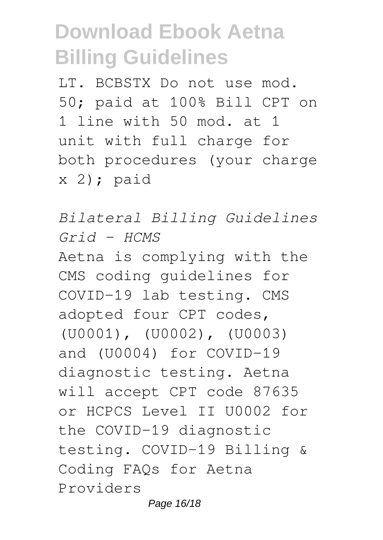LT. BCBSTX Do not use mod. 50; paid at 100% Bill CPT on 1 line with 50 mod. at 1 unit with full charge for both procedures (your charge  $x$  2); paid

*Bilateral Billing Guidelines Grid - HCMS* Aetna is complying with the CMS coding guidelines for COVID-19 lab testing. CMS adopted four CPT codes, (U0001), (U0002), (U0003) and (U0004) for COVID-19 diagnostic testing. Aetna will accept CPT code 87635 or HCPCS Level II U0002 for the COVID-19 diagnostic testing. COVID-19 Billing & Coding FAQs for Aetna Providers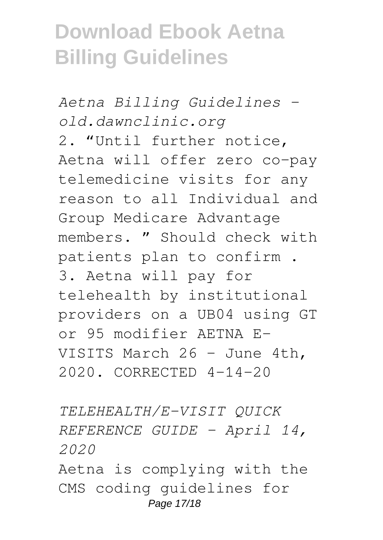*Aetna Billing Guidelines old.dawnclinic.org* 2. "Until further notice, Aetna will offer zero co-pay telemedicine visits for any reason to all Individual and Group Medicare Advantage members. " Should check with patients plan to confirm . 3. Aetna will pay for telehealth by institutional providers on a UB04 using GT or 95 modifier AETNA E-VISITS March 26 - June 4th, 2020. CORRECTED 4-14-20

*TELEHEALTH/E-VISIT QUICK REFERENCE GUIDE – April 14, 2020*

Aetna is complying with the CMS coding guidelines for Page 17/18